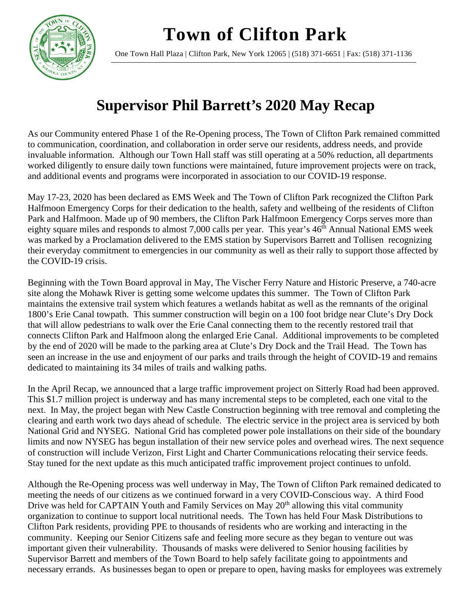**Town of Clifton Park**



One Town Hall Plaza | Clifton Park, New York 12065 | (518) 371-6651 | Fax: (518) 371-1136

## **Supervisor Phil Barrett's 2020 May Recap**

As our Community entered Phase 1 of the Re-Opening process, The Town of Clifton Park remained committed to communication, coordination, and collaboration in order serve our residents, address needs, and provide invaluable information. Although our Town Hall staff was still operating at a 50% reduction, all departments worked diligently to ensure daily town functions were maintained, future improvement projects were on track, and additional events and programs were incorporated in association to our COVID-19 response.

May 17-23, 2020 has been declared as EMS Week and The Town of Clifton Park recognized the Clifton Park Halfmoon Emergency Corps for their dedication to the health, safety and wellbeing of the residents of Clifton Park and Halfmoon. Made up of 90 members, the Clifton Park Halfmoon Emergency Corps serves more than eighty square miles and responds to almost 7,000 calls per year. This year's  $46<sup>th</sup>$  Annual National EMS week was marked by a Proclamation delivered to the EMS station by Supervisors Barrett and Tollisen recognizing their everyday commitment to emergencies in our community as well as their rally to support those affected by the COVID-19 crisis.

Beginning with the Town Board approval in May, The Vischer Ferry Nature and Historic Preserve, a 740-acre site along the Mohawk River is getting some welcome updates this summer. The Town of Clifton Park maintains the extensive trail system which features a wetlands habitat as well as the remnants of the original 1800's Erie Canal towpath. This summer construction will begin on a 100 foot bridge near Clute's Dry Dock that will allow pedestrians to walk over the Erie Canal connecting them to the recently restored trail that connects Clifton Park and Halfmoon along the enlarged Erie Canal. Additional improvements to be completed by the end of 2020 will be made to the parking area at Clute's Dry Dock and the Trail Head. The Town has seen an increase in the use and enjoyment of our parks and trails through the height of COVID-19 and remains dedicated to maintaining its 34 miles of trails and walking paths.

In the April Recap, we announced that a large traffic improvement project on Sitterly Road had been approved. This \$1.7 million project is underway and has many incremental steps to be completed, each one vital to the next. In May, the project began with New Castle Construction beginning with tree removal and completing the clearing and earth work two days ahead of schedule. The electric service in the project area is serviced by both National Grid and NYSEG. National Grid has completed power pole installations on their side of the boundary limits and now NYSEG has begun installation of their new service poles and overhead wires. The next sequence of construction will include Verizon, First Light and Charter Communications relocating their service feeds. Stay tuned for the next update as this much anticipated traffic improvement project continues to unfold.

Although the Re-Opening process was well underway in May, The Town of Clifton Park remained dedicated to meeting the needs of our citizens as we continued forward in a very COVID-Conscious way. A third Food Drive was held for CAPTAIN Youth and Family Services on May 20<sup>th</sup> allowing this vital community organization to continue to support local nutritional needs. The Town has held Four Mask Distributions to Clifton Park residents, providing PPE to thousands of residents who are working and interacting in the community. Keeping our Senior Citizens safe and feeling more secure as they began to venture out was important given their vulnerability. Thousands of masks were delivered to Senior housing facilities by Supervisor Barrett and members of the Town Board to help safely facilitate going to appointments and necessary errands. As businesses began to open or prepare to open, having masks for employees was extremely